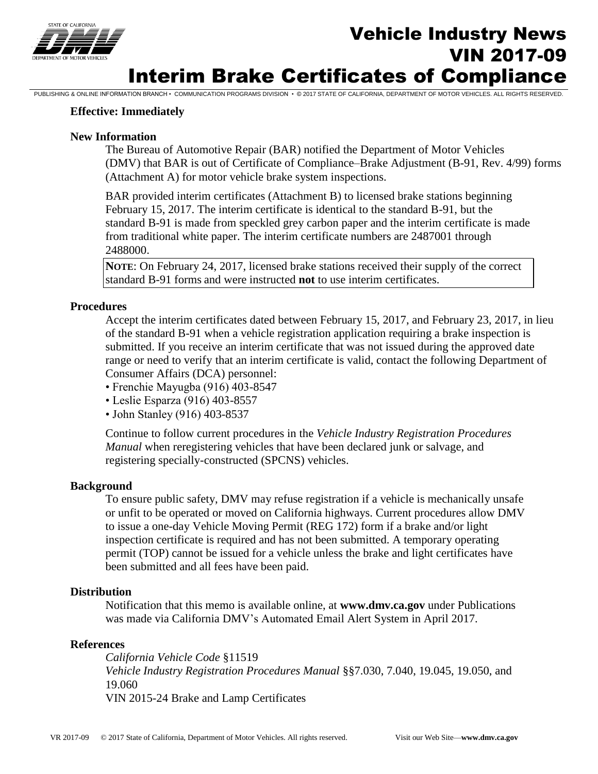

# **THE SAUGHOOGRAPH STATE OF SAUGHOOGRAPH STATE OF THE Vehicle Industry News** VIN 2017-09 Interim Brake Certificates of Compliance

PUBLISHING & ONLINE INFORMATION BRANCH • COMMUNICATION PROGRAMS DIVISION • © 2017 STATE OF CALIFORNIA, DEPARTMENT OF MOTOR VEHICLES. ALL RIGHTS RESERVED.

### **Effective: Immediately**

### **New Information**

The Bureau of Automotive Repair (BAR) notified the Department of Motor Vehicles (DMV) that BAR is out of Certificate of Compliance–Brake Adjustment (B-91, Rev. 4/99) forms (Attachment A) for motor vehicle brake system inspections.

BAR provided interim certificates (Attachment B) to licensed brake stations beginning February 15, 2017. The interim certificate is identical to the standard B-91, but the standard B-91 is made from speckled grey carbon paper and the interim certificate is made from traditional white paper. The interim certificate numbers are 2487001 through 2488000.

**NOTE**: On February 24, 2017, licensed brake stations received their supply of the correct standard B-91 forms and were instructed **not** to use interim certificates.

### **Procedures**

Accept the interim certificates dated between February 15, 2017, and February 23, 2017, in lieu of the standard B-91 when a vehicle registration application requiring a brake inspection is submitted. If you receive an interim certificate that was not issued during the approved date range or need to verify that an interim certificate is valid, contact the following Department of Consumer Affairs (DCA) personnel:

- Frenchie Mayugba (916) 403-8547
- Leslie Esparza (916) 403-8557
- John Stanley (916) 403-8537

Continue to follow current procedures in the *Vehicle Industry Registration Procedures Manual* when reregistering vehicles that have been declared junk or salvage, and registering specially-constructed (SPCNS) vehicles.

#### **Background**

To ensure public safety, DMV may refuse registration if a vehicle is mechanically unsafe or unfit to be operated or moved on California highways. Current procedures allow DMV to issue a one-day Vehicle Moving Permit (REG 172) form if a brake and/or light inspection certificate is required and has not been submitted. A temporary operating permit (TOP) cannot be issued for a vehicle unless the brake and light certificates have been submitted and all fees have been paid.

#### **Distribution**

Notification that this memo is available online, at **www.dmv.ca.gov** under Publications was made via California DMV's Automated Email Alert System in April 2017.

### **References**

*California Vehicle Code* §11519 *Vehicle Industry Registration Procedures Manual* §§7.030, 7.040, 19.045, 19.050, and 19.060 VIN 2015-24 Brake and Lamp Certificates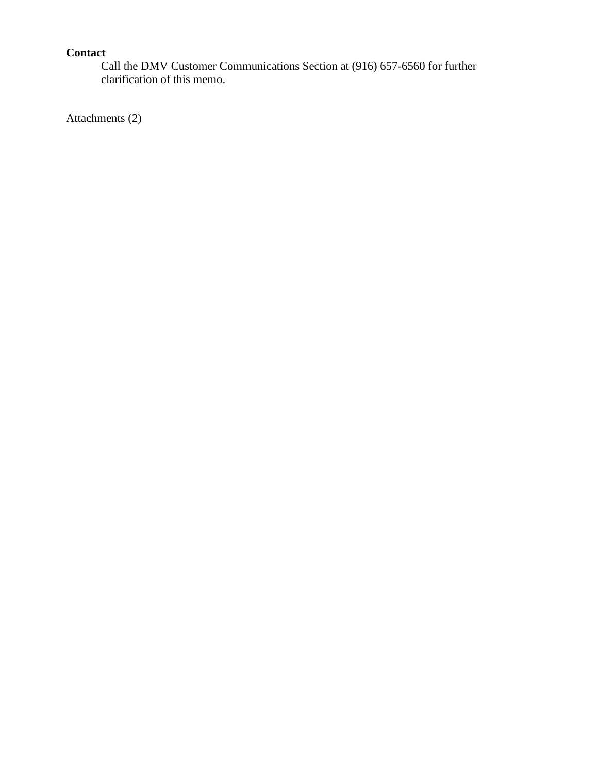# **Contact**

Call the DMV Customer Communications Section at (916) 657-6560 for further clarification of this memo.

Attachments (2)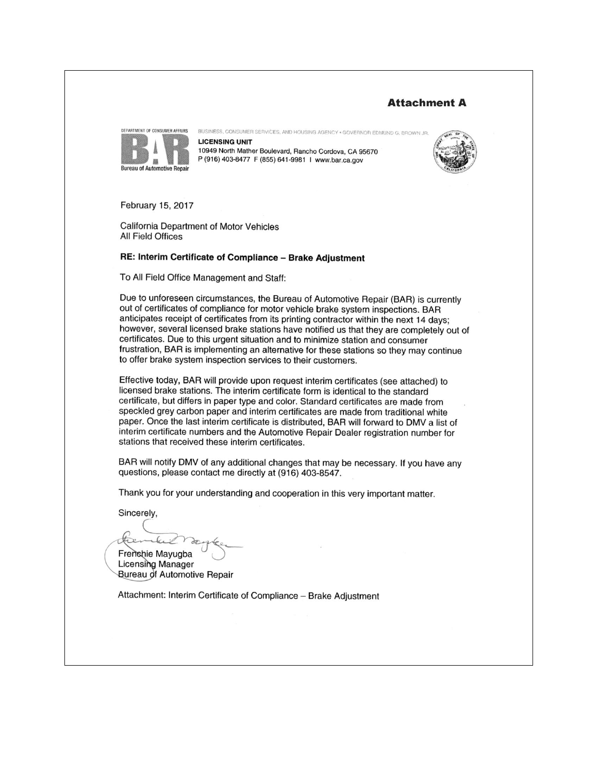## **Attachment A**



BUSINESS, CONSUMER SERVICES, AND HOUSING AGENCY . GOVERNOR EDMUND G. BROWN JR **LICENSING UNIT** 10949 North Mather Boulevard, Rancho Cordova, CA 95670 P (916) 403-8477 F (855) 641-9981 I www.bar.ca.gov



February 15, 2017

California Department of Motor Vehicles All Field Offices

#### RE: Interim Certificate of Compliance - Brake Adjustment

To All Field Office Management and Staff:

Due to unforeseen circumstances, the Bureau of Automotive Repair (BAR) is currently out of certificates of compliance for motor vehicle brake system inspections. BAR anticipates receipt of certificates from its printing contractor within the next 14 days; however, several licensed brake stations have notified us that they are completely out of certificates. Due to this urgent situation and to minimize station and consumer frustration, BAR is implementing an alternative for these stations so they may continue to offer brake system inspection services to their customers.

Effective today, BAR will provide upon request interim certificates (see attached) to licensed brake stations. The interim certificate form is identical to the standard certificate, but differs in paper type and color. Standard certificates are made from speckled grey carbon paper and interim certificates are made from traditional white paper. Once the last interim certificate is distributed, BAR will forward to DMV a list of interim certificate numbers and the Automotive Repair Dealer registration number for stations that received these interim certificates.

BAR will notify DMV of any additional changes that may be necessary. If you have any questions, please contact me directly at (916) 403-8547.

Thank you for your understanding and cooperation in this very important matter.

Sincerely.

Frenchie Mayugba

Licensing Manager Bureau of Automotive Repair

Attachment: Interim Certificate of Compliance - Brake Adjustment